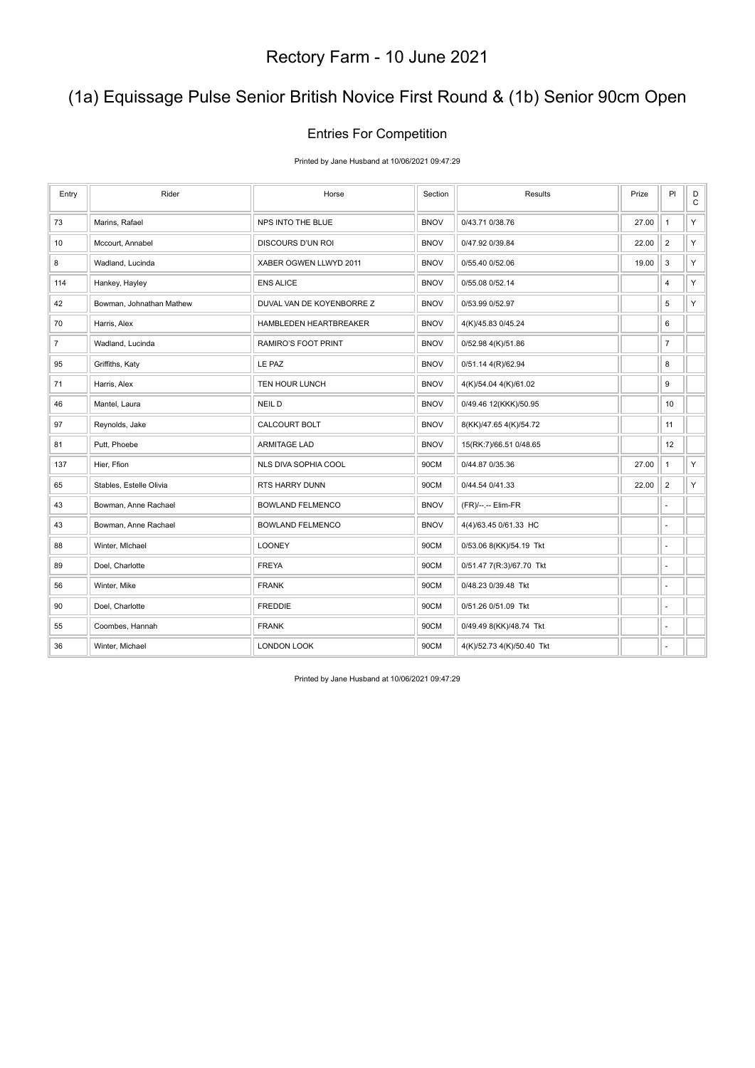## (1a) Equissage Pulse Senior British Novice First Round & (1b) Senior 90cm Open

#### Entries For Competition

Printed by Jane Husband at 10/06/2021 09:47:29

| Entry          | Rider                    | Horse                     | Section     | Results                   | Prize | P                        | D<br>$\mathtt{C}$ |
|----------------|--------------------------|---------------------------|-------------|---------------------------|-------|--------------------------|-------------------|
| 73             | Marins, Rafael           | NPS INTO THE BLUE         | <b>BNOV</b> | 0/43.71 0/38.76           | 27.00 | $\mathbf{1}$             | Y                 |
| 10             | Mccourt, Annabel         | DISCOURS D'UN ROI         | <b>BNOV</b> | 0/47.92 0/39.84           | 22.00 | $\overline{2}$           | Y.                |
| 8              | Wadland, Lucinda         | XABER OGWEN LLWYD 2011    | <b>BNOV</b> | 0/55.40 0/52.06           | 19.00 | 3                        | Y                 |
| 114            | Hankey, Hayley           | <b>ENS ALICE</b>          | <b>BNOV</b> | 0/55.08 0/52.14           |       | $\overline{4}$           | Y                 |
| 42             | Bowman, Johnathan Mathew | DUVAL VAN DE KOYENBORRE Z | <b>BNOV</b> | 0/53.99 0/52.97           |       | 5                        | Y.                |
| 70             | Harris, Alex             | HAMBLEDEN HEARTBREAKER    | <b>BNOV</b> | 4(K)/45.83 0/45.24        |       | 6                        |                   |
| $\overline{7}$ | Wadland, Lucinda         | RAMIRO'S FOOT PRINT       | <b>BNOV</b> | 0/52.98 4(K)/51.86        |       | $\overline{7}$           |                   |
| 95             | Griffiths, Katy          | LE PAZ                    | <b>BNOV</b> | 0/51.14 4(R)/62.94        |       | 8                        |                   |
| 71             | Harris, Alex             | TEN HOUR LUNCH            | <b>BNOV</b> | 4(K)/54.04 4(K)/61.02     |       | 9                        |                   |
| 46             | Mantel, Laura            | <b>NEILD</b>              | <b>BNOV</b> | 0/49.46 12(KKK)/50.95     |       | 10                       |                   |
| 97             | Reynolds, Jake           | CALCOURT BOLT             | <b>BNOV</b> | 8(KK)/47.65 4(K)/54.72    |       | 11                       |                   |
| 81             | Putt, Phoebe             | <b>ARMITAGE LAD</b>       | <b>BNOV</b> | 15(RK:7)/66.51 0/48.65    |       | 12                       |                   |
| 137            | Hier, Ffion              | NLS DIVA SOPHIA COOL      | 90CM        | 0/44.87 0/35.36           | 27.00 | $\mathbf{1}$             | Y                 |
| 65             | Stables, Estelle Olivia  | RTS HARRY DUNN            | 90CM        | 0/44.54 0/41.33           | 22.00 | $\overline{2}$           | Y.                |
| 43             | Bowman, Anne Rachael     | <b>BOWLAND FELMENCO</b>   | <b>BNOV</b> | (FR)/--.-- Elim-FR        |       |                          |                   |
| 43             | Bowman, Anne Rachael     | <b>BOWLAND FELMENCO</b>   | <b>BNOV</b> | 4(4)/63.45 0/61.33 HC     |       | $\overline{a}$           |                   |
| 88             | Winter, MIchael          | <b>LOONEY</b>             | 90CM        | 0/53.06 8(KK)/54.19 Tkt   |       | ÷.                       |                   |
| 89             | Doel, Charlotte          | <b>FREYA</b>              | 90CM        | 0/51.47 7(R:3)/67.70 Tkt  |       |                          |                   |
| 56             | Winter, Mike             | <b>FRANK</b>              | 90CM        | 0/48.23 0/39.48 Tkt       |       |                          |                   |
| 90             | Doel, Charlotte          | <b>FREDDIE</b>            | 90CM        | 0/51.26 0/51.09 Tkt       |       | $\overline{\phantom{a}}$ |                   |
| 55             | Coombes, Hannah          | <b>FRANK</b>              | 90CM        | 0/49.49 8(KK)/48.74 Tkt   |       | $\sim$                   |                   |
| 36             | Winter, Michael          | LONDON LOOK               | 90CM        | 4(K)/52.73 4(K)/50.40 Tkt |       | ÷.                       |                   |

Printed by Jane Husband at 10/06/2021 09:47:29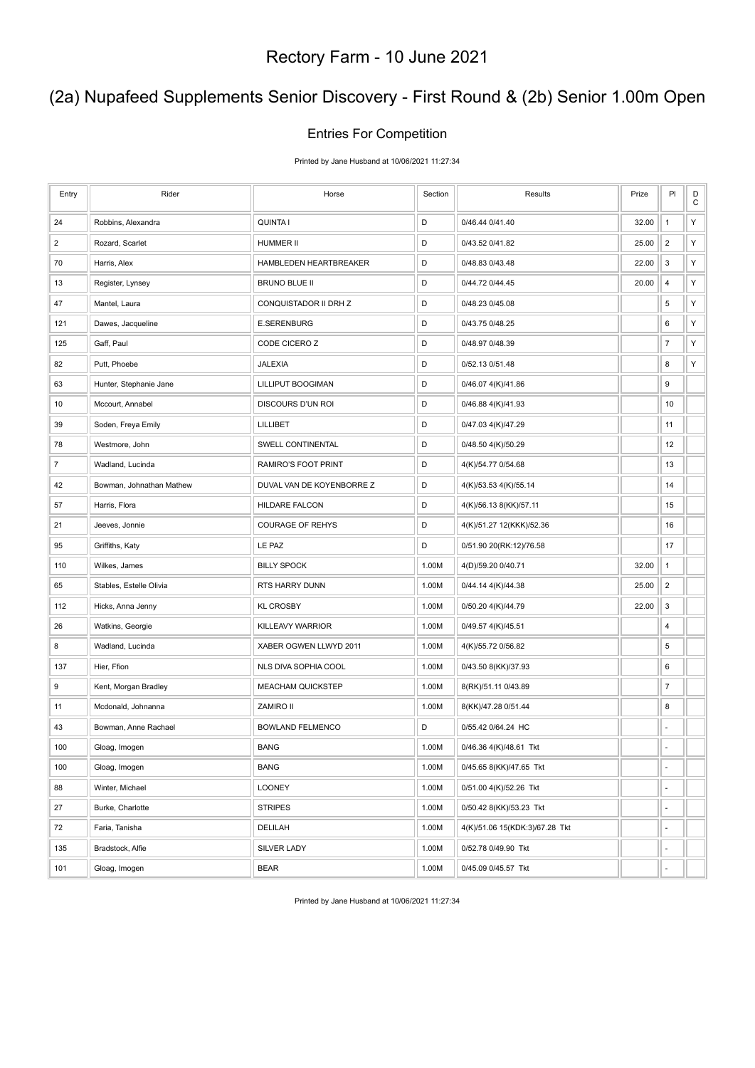## (2a) Nupafeed Supplements Senior Discovery - First Round & (2b) Senior 1.00m Open

#### Entries For Competition

Printed by Jane Husband at 10/06/2021 11:27:34

| Entry          | Rider                    | Horse                     | Section | Results                        | Prize | PI             | D<br>C |
|----------------|--------------------------|---------------------------|---------|--------------------------------|-------|----------------|--------|
| 24             | Robbins, Alexandra       | <b>QUINTA I</b>           | D       | 0/46.44 0/41.40                | 32.00 | $\mathbf{1}$   | Y      |
| $\overline{c}$ | Rozard, Scarlet          | HUMMER II                 | D       | 0/43.52 0/41.82                | 25.00 | $\overline{2}$ | Υ      |
| 70             | Harris, Alex             | HAMBLEDEN HEARTBREAKER    | D       | 0/48.83 0/43.48                | 22.00 | 3              | Υ      |
| 13             | Register, Lynsey         | <b>BRUNO BLUE II</b>      | D       | 0/44.72 0/44.45                | 20.00 | 4              | Υ      |
| 47             | Mantel, Laura            | CONQUISTADOR II DRH Z     | D       | 0/48.23 0/45.08                |       | 5              | Υ      |
| 121            | Dawes, Jacqueline        | <b>E.SERENBURG</b>        | D       | 0/43.75 0/48.25                |       | 6              | Y      |
| 125            | Gaff, Paul               | CODE CICERO Z             | D       | 0/48.97 0/48.39                |       | $\overline{7}$ | Υ      |
| 82             | Putt, Phoebe             | JALEXIA                   | D       | 0/52.13 0/51.48                |       | 8              | Υ      |
| 63             | Hunter, Stephanie Jane   | LILLIPUT BOOGIMAN         | D       | 0/46.07 4(K)/41.86             |       | 9              |        |
| 10             | Mccourt, Annabel         | DISCOURS D'UN ROI         | D       | 0/46.88 4(K)/41.93             |       | 10             |        |
| 39             | Soden, Freya Emily       | LILLIBET                  | D       | 0/47.03 4(K)/47.29             |       | 11             |        |
| 78             | Westmore, John           | SWELL CONTINENTAL         | D       | 0/48.50 4(K)/50.29             |       | 12             |        |
| $\overline{7}$ | Wadland, Lucinda         | RAMIRO'S FOOT PRINT       | D       | 4(K)/54.77 0/54.68             |       | 13             |        |
| 42             | Bowman, Johnathan Mathew | DUVAL VAN DE KOYENBORRE Z | D       | 4(K)/53.53 4(K)/55.14          |       | 14             |        |
| 57             | Harris, Flora            | HILDARE FALCON            | D       | 4(K)/56.13 8(KK)/57.11         |       | 15             |        |
| 21             | Jeeves, Jonnie           | <b>COURAGE OF REHYS</b>   | D       | 4(K)/51.27 12(KKK)/52.36       |       | 16             |        |
| 95             | Griffiths, Katy          | LE PAZ                    | D       | 0/51.90 20(RK:12)/76.58        |       | 17             |        |
| 110            | Wilkes, James            | <b>BILLY SPOCK</b>        | 1.00M   | 4(D)/59.20 0/40.71             | 32.00 | $\mathbf{1}$   |        |
| 65             | Stables, Estelle Olivia  | RTS HARRY DUNN            | 1.00M   | 0/44.14 4(K)/44.38             | 25.00 | $\overline{2}$ |        |
| 112            | Hicks, Anna Jenny        | <b>KL CROSBY</b>          | 1.00M   | 0/50.20 4(K)/44.79             | 22.00 | 3              |        |
| 26             | Watkins, Georgie         | KILLEAVY WARRIOR          | 1.00M   | 0/49.57 4(K)/45.51             |       | 4              |        |
| 8              | Wadland, Lucinda         | XABER OGWEN LLWYD 2011    | 1.00M   | 4(K)/55.72 0/56.82             |       | 5              |        |
| 137            | Hier, Ffion              | NLS DIVA SOPHIA COOL      | 1.00M   | 0/43.50 8(KK)/37.93            |       | 6              |        |
| 9              | Kent, Morgan Bradley     | <b>MEACHAM QUICKSTEP</b>  | 1.00M   | 8(RK)/51.11 0/43.89            |       | $\overline{7}$ |        |
| 11             | Mcdonald, Johnanna       | <b>ZAMIRO II</b>          | 1.00M   | 8(KK)/47.28 0/51.44            |       | 8              |        |
| 43             | Bowman, Anne Rachael     | <b>BOWLAND FELMENCO</b>   | D       | 0/55.42 0/64.24 HC             |       | ä,             |        |
| 100            | Gloag, Imogen            | <b>BANG</b>               | 1.00M   | 0/46.36 4(K)/48.61 Tkt         |       | ä,             |        |
| 100            | Gloag, Imogen            | <b>BANG</b>               | 1.00M   | 0/45.65 8(KK)/47.65 Tkt        |       | $\blacksquare$ |        |
| 88             | Winter, Michael          | <b>LOONEY</b>             | 1.00M   | 0/51.00 4(K)/52.26 Tkt         |       | ÷,             |        |
| 27             | Burke, Charlotte         | <b>STRIPES</b>            | 1.00M   | 0/50.42 8(KK)/53.23 Tkt        |       | ÷,             |        |
| 72             | Faria, Tanisha           | DELILAH                   | 1.00M   | 4(K)/51.06 15(KDK:3)/67.28 Tkt |       | ÷,             |        |
| 135            | Bradstock, Alfie         | SILVER LADY               | 1.00M   | 0/52.78 0/49.90 Tkt            |       | ä,             |        |
| 101            | Gloag, Imogen            | <b>BEAR</b>               | 1.00M   | 0/45.09 0/45.57 Tkt            |       | ä,             |        |

Printed by Jane Husband at 10/06/2021 11:27:34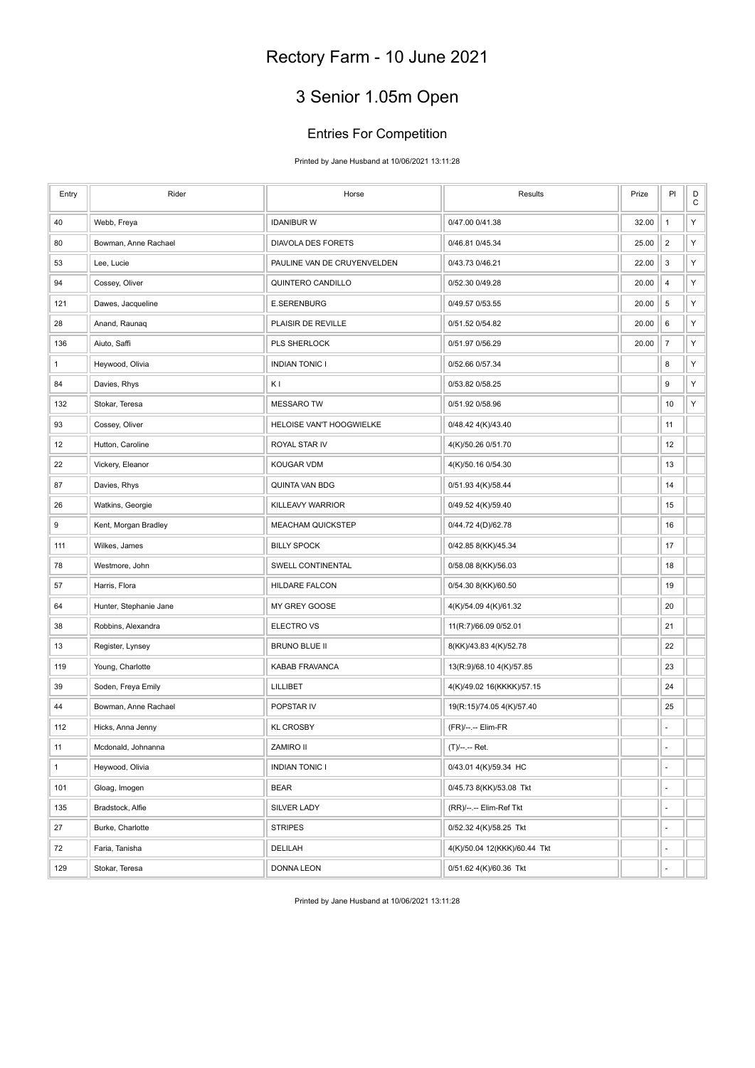# 3 Senior 1.05m Open

#### Entries For Competition

Printed by Jane Husband at 10/06/2021 13:11:28

| Entry        | Rider                  | Horse                       | Results                      | Prize | PI               | D<br>$\mathbf C$ |
|--------------|------------------------|-----------------------------|------------------------------|-------|------------------|------------------|
| 40           | Webb, Freya            | <b>IDANIBUR W</b>           | 0/47.00 0/41.38              | 32.00 | $\mathbf{1}$     | Υ                |
| 80           | Bowman, Anne Rachael   | DIAVOLA DES FORETS          | 0/46.81 0/45.34              | 25.00 | $\overline{2}$   | Υ                |
| 53           | Lee, Lucie             | PAULINE VAN DE CRUYENVELDEN | 0/43.73 0/46.21              | 22.00 | 3                | Υ                |
| 94           | Cossey, Oliver         | QUINTERO CANDILLO           | 0/52.30 0/49.28              | 20.00 | 4                | Υ                |
| 121          | Dawes, Jacqueline      | E.SERENBURG                 | 0/49.57 0/53.55              | 20.00 | 5                | Υ                |
| 28           | Anand, Raunaq          | PLAISIR DE REVILLE          | 0/51.52 0/54.82              | 20.00 | 6                | Υ                |
| 136          | Aiuto, Saffi           | <b>PLS SHERLOCK</b>         | 0/51.97 0/56.29              | 20.00 | $\boldsymbol{7}$ | Υ                |
| 1            | Heywood, Olivia        | <b>INDIAN TONIC I</b>       | 0/52.66 0/57.34              |       | 8                | Υ                |
| 84           | Davies, Rhys           | ΚI                          | 0/53.82 0/58.25              |       | 9                | Υ                |
| 132          | Stokar, Teresa         | <b>MESSARO TW</b>           | 0/51.92 0/58.96              |       | 10               | Υ                |
| 93           | Cossey, Oliver         | HELOISE VAN'T HOOGWIELKE    | 0/48.42 4(K)/43.40           |       | 11               |                  |
| 12           | Hutton, Caroline       | ROYAL STAR IV               | 4(K)/50.26 0/51.70           |       | 12               |                  |
| 22           | Vickery, Eleanor       | KOUGAR VDM                  | 4(K)/50.16 0/54.30           |       | 13               |                  |
| 87           | Davies, Rhys           | QUINTA VAN BDG              | 0/51.93 4(K)/58.44           |       | 14               |                  |
| 26           | Watkins, Georgie       | KILLEAVY WARRIOR            | 0/49.52 4(K)/59.40           |       | 15               |                  |
| 9            | Kent, Morgan Bradley   | <b>MEACHAM QUICKSTEP</b>    | 0/44.72 4(D)/62.78           |       | 16               |                  |
| 111          | Wilkes, James          | <b>BILLY SPOCK</b>          | 0/42.85 8(KK)/45.34          |       | 17               |                  |
| 78           | Westmore, John         | SWELL CONTINENTAL           | 0/58.08 8(KK)/56.03          |       | 18               |                  |
| 57           | Harris, Flora          | HILDARE FALCON              | 0/54.30 8(KK)/60.50          |       | 19               |                  |
| 64           | Hunter, Stephanie Jane | MY GREY GOOSE               | 4(K)/54.09 4(K)/61.32        |       | 20               |                  |
| 38           | Robbins, Alexandra     | <b>ELECTRO VS</b>           | 11(R:7)/66.09 0/52.01        |       | 21               |                  |
| 13           | Register, Lynsey       | <b>BRUNO BLUE II</b>        | 8(KK)/43.83 4(K)/52.78       |       | 22               |                  |
| 119          | Young, Charlotte       | KABAB FRAVANCA              | 13(R:9)/68.10 4(K)/57.85     |       | 23               |                  |
| 39           | Soden, Freya Emily     | LILLIBET                    | 4(K)/49.02 16(KKKK)/57.15    |       | 24               |                  |
| 44           | Bowman, Anne Rachael   | POPSTAR IV                  | 19(R:15)/74.05 4(K)/57.40    |       | 25               |                  |
| 112          | Hicks, Anna Jenny      | <b>KL CROSBY</b>            | (FR)/--.-- Elim-FR           |       | ä,               |                  |
| 11           | Mcdonald, Johnanna     | <b>ZAMIRO II</b>            | (T)/--.-- Ret.               |       | ÷,               |                  |
| $\mathbf{1}$ | Heywood, Olivia        | <b>INDIAN TONIC I</b>       | 0/43.01 4(K)/59.34 HC        |       | ÷,               |                  |
| 101          | Gloag, Imogen          | <b>BEAR</b>                 | 0/45.73 8(KK)/53.08 Tkt      |       | $\frac{1}{2}$    |                  |
| 135          | Bradstock, Alfie       | <b>SILVER LADY</b>          | (RR)/--.-- Elim-Ref Tkt      |       | ÷,               |                  |
| 27           | Burke, Charlotte       | <b>STRIPES</b>              | 0/52.32 4(K)/58.25 Tkt       |       | ä,               |                  |
| 72           | Faria, Tanisha         | DELILAH                     | 4(K)/50.04 12(KKK)/60.44 Tkt |       | ÷,               |                  |
| 129          | Stokar, Teresa         | <b>DONNA LEON</b>           | 0/51.62 4(K)/60.36 Tkt       |       |                  |                  |

Printed by Jane Husband at 10/06/2021 13:11:28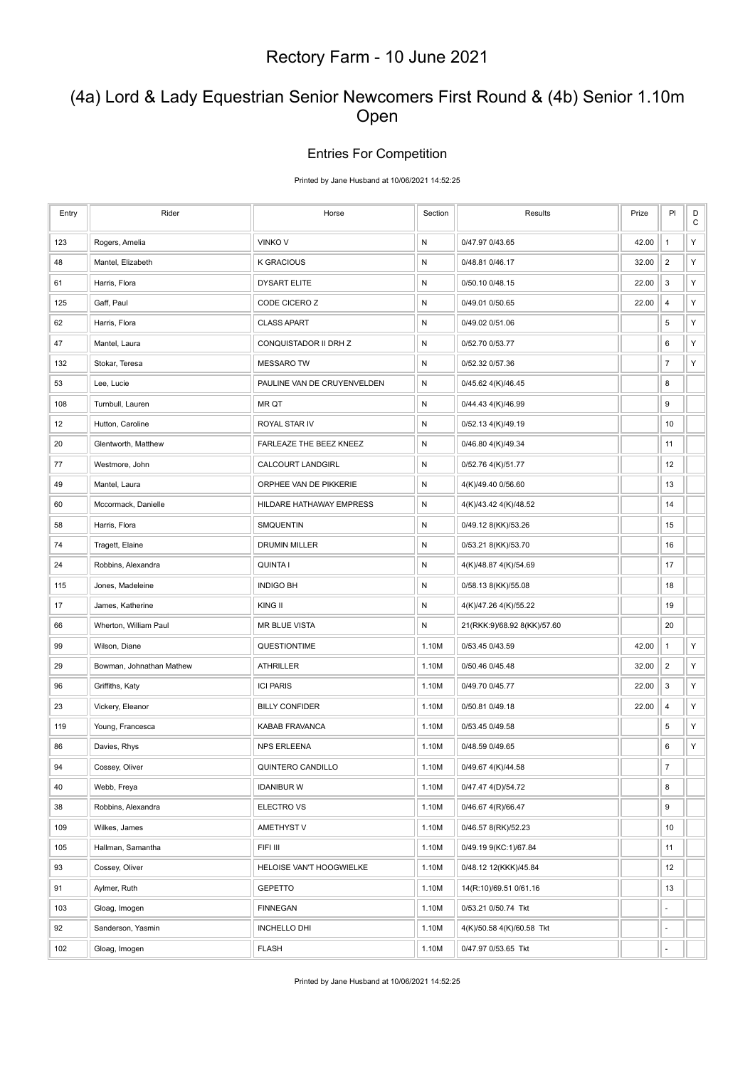### (4a) Lord & Lady Equestrian Senior Newcomers First Round & (4b) Senior 1.10m Open

#### Entries For Competition

Printed by Jane Husband at 10/06/2021 14:52:25

| Entry | Rider                    | Horse                       | Section      | Results                     | Prize | PI               | D<br>$\mathbf C$ |
|-------|--------------------------|-----------------------------|--------------|-----------------------------|-------|------------------|------------------|
| 123   | Rogers, Amelia           | <b>VINKOV</b>               | $\mathsf{N}$ | 0/47.97 0/43.65             | 42.00 | $\mathbf{1}$     | Υ                |
| 48    | Mantel, Elizabeth        | <b>K GRACIOUS</b>           | ${\sf N}$    | 0/48.81 0/46.17             | 32.00 | $\overline{2}$   | Υ                |
| 61    | Harris, Flora            | <b>DYSART ELITE</b>         | ${\sf N}$    | 0/50.10 0/48.15             | 22.00 | 3                | Υ                |
| 125   | Gaff, Paul               | CODE CICERO Z               | N            | 0/49.01 0/50.65             | 22.00 | 4                | Υ                |
| 62    | Harris, Flora            | <b>CLASS APART</b>          | ${\sf N}$    | 0/49.02 0/51.06             |       | 5                | Υ                |
| 47    | Mantel, Laura            | CONQUISTADOR II DRH Z       | N            | 0/52.70 0/53.77             |       | 6                | Υ                |
| 132   | Stokar, Teresa           | <b>MESSARO TW</b>           | N            | 0/52.32 0/57.36             |       | $\overline{7}$   | Υ                |
| 53    | Lee, Lucie               | PAULINE VAN DE CRUYENVELDEN | ${\sf N}$    | 0/45.62 4(K)/46.45          |       | 8                |                  |
| 108   | Turnbull, Lauren         | MR QT                       | N            | 0/44.43 4(K)/46.99          |       | 9                |                  |
| 12    | Hutton, Caroline         | ROYAL STAR IV               | N            | 0/52.13 4(K)/49.19          |       | 10               |                  |
| 20    | Glentworth, Matthew      | FARLEAZE THE BEEZ KNEEZ     | ${\sf N}$    | 0/46.80 4(K)/49.34          |       | 11               |                  |
| 77    | Westmore, John           | <b>CALCOURT LANDGIRL</b>    | N            | 0/52.76 4(K)/51.77          |       | 12               |                  |
| 49    | Mantel, Laura            | ORPHEE VAN DE PIKKERIE      | N            | 4(K)/49.40 0/56.60          |       | 13               |                  |
| 60    | Mccormack, Danielle      | HILDARE HATHAWAY EMPRESS    | N            | 4(K)/43.42 4(K)/48.52       |       | 14               |                  |
| 58    | Harris, Flora            | <b>SMQUENTIN</b>            | N            | 0/49.12 8(KK)/53.26         |       | 15               |                  |
| 74    | Tragett, Elaine          | <b>DRUMIN MILLER</b>        | $\mathsf{N}$ | 0/53.21 8(KK)/53.70         |       | 16               |                  |
| 24    | Robbins, Alexandra       | <b>QUINTA I</b>             | N            | 4(K)/48.87 4(K)/54.69       |       | 17               |                  |
| 115   | Jones, Madeleine         | <b>INDIGO BH</b>            | N            | 0/58.13 8(KK)/55.08         |       | 18               |                  |
| 17    | James, Katherine         | KING II                     | ${\sf N}$    | 4(K)/47.26 4(K)/55.22       |       | 19               |                  |
| 66    | Wherton, William Paul    | <b>MR BLUE VISTA</b>        | N            | 21(RKK:9)/68.92 8(KK)/57.60 |       | 20               |                  |
| 99    | Wilson, Diane            | QUESTIONTIME                | 1.10M        | 0/53.45 0/43.59             | 42.00 | $\mathbf{1}$     | Υ                |
| 29    | Bowman, Johnathan Mathew | <b>ATHRILLER</b>            | 1.10M        | 0/50.46 0/45.48             | 32.00 | $\overline{2}$   | Υ                |
| 96    | Griffiths, Katy          | <b>ICI PARIS</b>            | 1.10M        | 0/49.70 0/45.77             | 22.00 | 3                | Υ                |
| 23    | Vickery, Eleanor         | <b>BILLY CONFIDER</b>       | 1.10M        | 0/50.81 0/49.18             | 22.00 | $\overline{4}$   | Υ                |
| 119   | Young, Francesca         | KABAB FRAVANCA              | 1.10M        | 0/53.45 0/49.58             |       | 5                | Y                |
| 86    | Davies, Rhys             | <b>NPS ERLEENA</b>          | 1.10M        | 0/48.59 0/49.65             |       | 6                | Υ                |
| 94    | Cossey, Oliver           | QUINTERO CANDILLO           | 1.10M        | 0/49.67 4(K)/44.58          |       | $\boldsymbol{7}$ |                  |
| 40    | Webb, Freya              | <b>IDANIBUR W</b>           | 1.10M        | 0/47.47 4(D)/54.72          |       | 8                |                  |
| 38    | Robbins, Alexandra       | ELECTRO VS                  | 1.10M        | 0/46.67 4(R)/66.47          |       | 9                |                  |
| 109   | Wilkes, James            | AMETHYST V                  | 1.10M        | 0/46.57 8(RK)/52.23         |       | 10               |                  |
| 105   | Hallman, Samantha        | FIFI III                    | 1.10M        | 0/49.19 9(KC:1)/67.84       |       | 11               |                  |
| 93    | Cossey, Oliver           | HELOISE VAN'T HOOGWIELKE    | 1.10M        | 0/48.12 12(KKK)/45.84       |       | 12               |                  |
| 91    | Aylmer, Ruth             | <b>GEPETTO</b>              | 1.10M        | 14(R:10)/69.51 0/61.16      |       | 13               |                  |
| 103   | Gloag, Imogen            | <b>FINNEGAN</b>             | 1.10M        | 0/53.21 0/50.74 Tkt         |       | ÷,               |                  |
| 92    | Sanderson, Yasmin        | INCHELLO DHI                | 1.10M        | 4(K)/50.58 4(K)/60.58 Tkt   |       | ÷,               |                  |
| 102   | Gloag, Imogen            | <b>FLASH</b>                | 1.10M        | 0/47.97 0/53.65 Tkt         |       |                  |                  |

Printed by Jane Husband at 10/06/2021 14:52:25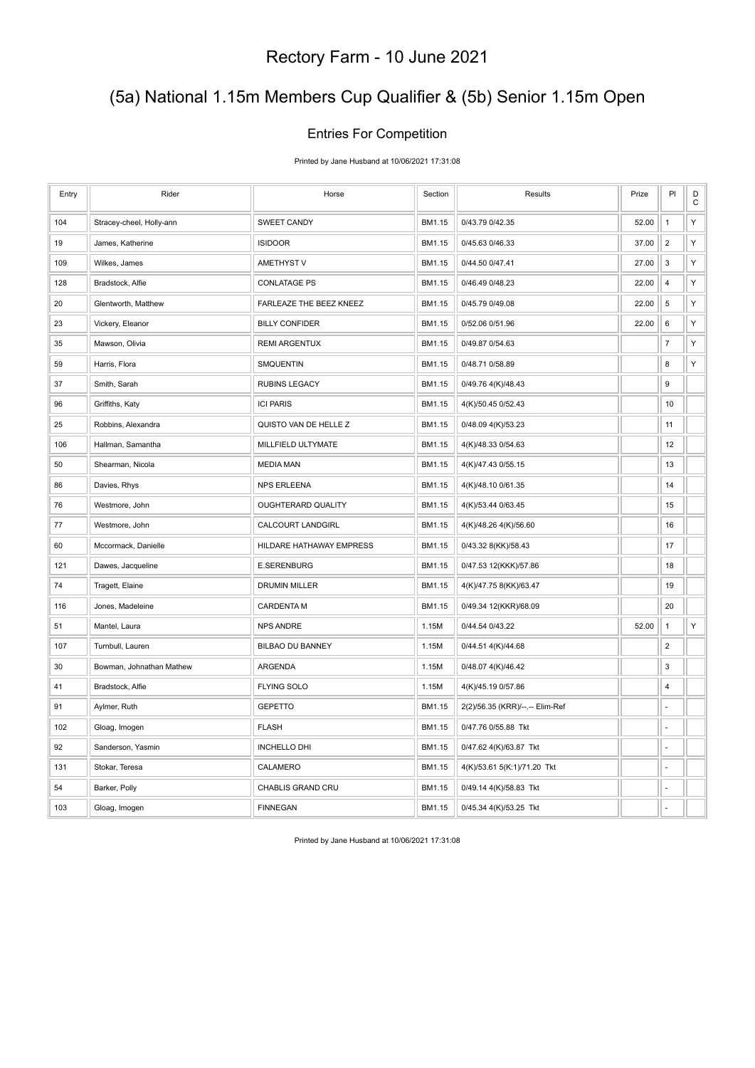## (5a) National 1.15m Members Cup Qualifier & (5b) Senior 1.15m Open

#### Entries For Competition

Printed by Jane Husband at 10/06/2021 17:31:08

| Entry | Rider                    | Horse                     | Section | Results                         | Prize | PI             | $\mathsf D$<br>$\mathbf C$ |
|-------|--------------------------|---------------------------|---------|---------------------------------|-------|----------------|----------------------------|
| 104   | Stracey-cheel, Holly-ann | <b>SWEET CANDY</b>        | BM1.15  | 0/43.79 0/42.35                 | 52.00 | $\mathbf{1}$   | Υ                          |
| 19    | James, Katherine         | <b>ISIDOOR</b>            | BM1.15  | 0/45.63 0/46.33                 | 37.00 | $\overline{2}$ | Υ                          |
| 109   | Wilkes, James            | AMETHYST V                | BM1.15  | 0/44.50 0/47.41                 | 27.00 | 3              | Υ                          |
| 128   | Bradstock, Alfie         | <b>CONLATAGE PS</b>       | BM1.15  | 0/46.49 0/48.23                 | 22.00 | 4              | Υ                          |
| 20    | Glentworth, Matthew      | FARLEAZE THE BEEZ KNEEZ   | BM1.15  | 0/45.79 0/49.08                 | 22.00 | $\,$ 5 $\,$    | Υ                          |
| 23    | Vickery, Eleanor         | <b>BILLY CONFIDER</b>     | BM1.15  | 0/52.06 0/51.96                 | 22.00 | 6              | Υ                          |
| 35    | Mawson, Olivia           | <b>REMI ARGENTUX</b>      | BM1.15  | 0/49.87 0/54.63                 |       | $\overline{7}$ | Υ                          |
| 59    | Harris, Flora            | SMQUENTIN                 | BM1.15  | 0/48.71 0/58.89                 |       | 8              | Υ                          |
| 37    | Smith, Sarah             | <b>RUBINS LEGACY</b>      | BM1.15  | 0/49.76 4(K)/48.43              |       | 9              |                            |
| 96    | Griffiths, Katy          | <b>ICI PARIS</b>          | BM1.15  | 4(K)/50.45 0/52.43              |       | 10             |                            |
| 25    | Robbins, Alexandra       | QUISTO VAN DE HELLE Z     | BM1.15  | 0/48.09 4(K)/53.23              |       | 11             |                            |
| 106   | Hallman, Samantha        | MILLFIELD ULTYMATE        | BM1.15  | 4(K)/48.33 0/54.63              |       | 12             |                            |
| 50    | Shearman, Nicola         | <b>MEDIA MAN</b>          | BM1.15  | 4(K)/47.43 0/55.15              |       | 13             |                            |
| 86    | Davies, Rhys             | <b>NPS ERLEENA</b>        | BM1.15  | 4(K)/48.10 0/61.35              |       | 14             |                            |
| 76    | Westmore, John           | <b>OUGHTERARD QUALITY</b> | BM1.15  | 4(K)/53.44 0/63.45              |       | 15             |                            |
| 77    | Westmore, John           | CALCOURT LANDGIRL         | BM1.15  | 4(K)/48.26 4(K)/56.60           |       | 16             |                            |
| 60    | Mccormack, Danielle      | HILDARE HATHAWAY EMPRESS  | BM1.15  | 0/43.32 8(KK)/58.43             |       | 17             |                            |
| 121   | Dawes, Jacqueline        | <b>E.SERENBURG</b>        | BM1.15  | 0/47.53 12(KKK)/57.86           |       | 18             |                            |
| 74    | Tragett, Elaine          | <b>DRUMIN MILLER</b>      | BM1.15  | 4(K)/47.75 8(KK)/63.47          |       | 19             |                            |
| 116   | Jones, Madeleine         | <b>CARDENTA M</b>         | BM1.15  | 0/49.34 12(KKR)/68.09           |       | 20             |                            |
| 51    | Mantel, Laura            | NPS ANDRE                 | 1.15M   | 0/44.54 0/43.22                 | 52.00 | $\mathbf{1}$   | Υ                          |
| 107   | Turnbull, Lauren         | <b>BILBAO DU BANNEY</b>   | 1.15M   | 0/44.51 4(K)/44.68              |       | $\overline{2}$ |                            |
| 30    | Bowman, Johnathan Mathew | ARGENDA                   | 1.15M   | 0/48.07 4(K)/46.42              |       | 3              |                            |
| 41    | Bradstock, Alfie         | <b>FLYING SOLO</b>        | 1.15M   | 4(K)/45.19 0/57.86              |       | 4              |                            |
| 91    | Aylmer, Ruth             | <b>GEPETTO</b>            | BM1.15  | 2(2)/56.35 (KRR)/--.-- Elim-Ref |       |                |                            |
| 102   | Gloag, Imogen            | <b>FLASH</b>              | BM1.15  | 0/47.76 0/55.88 Tkt             |       | ä,             |                            |
| 92    | Sanderson, Yasmin        | <b>INCHELLO DHI</b>       | BM1.15  | 0/47.62 4(K)/63.87 Tkt          |       | ÷,             |                            |
| 131   | Stokar, Teresa           | CALAMERO                  | BM1.15  | 4(K)/53.61 5(K:1)/71.20 Tkt     |       | L.             |                            |
| 54    | Barker, Polly            | <b>CHABLIS GRAND CRU</b>  | BM1.15  | 0/49.14 4(K)/58.83 Tkt          |       |                |                            |
| 103   | Gloag, Imogen            | <b>FINNEGAN</b>           | BM1.15  | 0/45.34 4(K)/53.25 Tkt          |       | ÷              |                            |

Printed by Jane Husband at 10/06/2021 17:31:08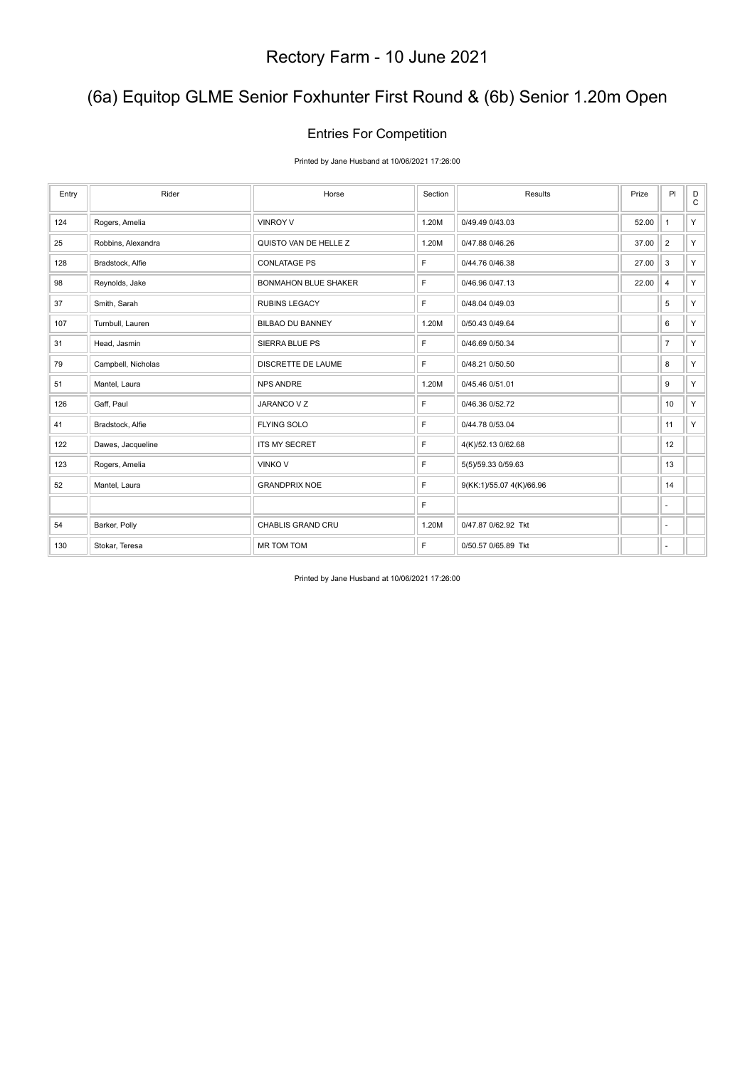## (6a) Equitop GLME Senior Foxhunter First Round & (6b) Senior 1.20m Open

### Entries For Competition

Printed by Jane Husband at 10/06/2021 17:26:00

| Entry | Rider              | Horse                       | Section | Results                  | Prize | PI             | D<br>$\mathtt{C}$ |
|-------|--------------------|-----------------------------|---------|--------------------------|-------|----------------|-------------------|
| 124   | Rogers, Amelia     | <b>VINROY V</b>             | 1.20M   | 0/49.49 0/43.03          | 52.00 | $\mathbf{1}$   | Y.                |
| 25    | Robbins, Alexandra | QUISTO VAN DE HELLE Z       | 1.20M   | 0/47.88 0/46.26          | 37.00 | $\overline{2}$ | Y.                |
| 128   | Bradstock, Alfie   | <b>CONLATAGE PS</b>         | F       | 0/44.76 0/46.38          | 27.00 | 3              | Y.                |
| 98    | Reynolds, Jake     | <b>BONMAHON BLUE SHAKER</b> | F       | 0/46.96 0/47.13          | 22.00 | 4              | Y.                |
| 37    | Smith, Sarah       | <b>RUBINS LEGACY</b>        | F       | 0/48.04 0/49.03          |       | $\,$ 5 $\,$    | Y.                |
| 107   | Turnbull, Lauren   | <b>BILBAO DU BANNEY</b>     | 1.20M   | 0/50.43 0/49.64          |       | 6              | Y.                |
| 31    | Head, Jasmin       | SIERRA BLUE PS              | F       | 0/46.69 0/50.34          |       | $\overline{7}$ | Y.                |
| 79    | Campbell, Nicholas | DISCRETTE DE LAUME          | F       | 0/48.21 0/50.50          |       | 8              | Y.                |
| 51    | Mantel, Laura      | <b>NPS ANDRE</b>            | 1.20M   | 0/45.46 0/51.01          |       | 9              | Y                 |
| 126   | Gaff, Paul         | JARANCO V Z                 | F       | 0/46.36 0/52.72          |       | 10             | Y                 |
| 41    | Bradstock, Alfie   | <b>FLYING SOLO</b>          | F       | 0/44.78 0/53.04          |       | 11             | Y                 |
| 122   | Dawes, Jacqueline  | <b>ITS MY SECRET</b>        | F       | 4(K)/52.13 0/62.68       |       | 12             |                   |
| 123   | Rogers, Amelia     | <b>VINKO V</b>              | F       | 5(5)/59.33 0/59.63       |       | 13             |                   |
| 52    | Mantel, Laura      | <b>GRANDPRIX NOE</b>        | F       | 9(KK:1)/55.07 4(K)/66.96 |       | 14             |                   |
|       |                    |                             | F       |                          |       | ×.             |                   |
| 54    | Barker, Polly      | CHABLIS GRAND CRU           | 1.20M   | 0/47.87 0/62.92 Tkt      |       | $\sim$         |                   |
| 130   | Stokar, Teresa     | <b>MR TOM TOM</b>           | F       | 0/50.57 0/65.89 Tkt      |       | ٠              |                   |

Printed by Jane Husband at 10/06/2021 17:26:00